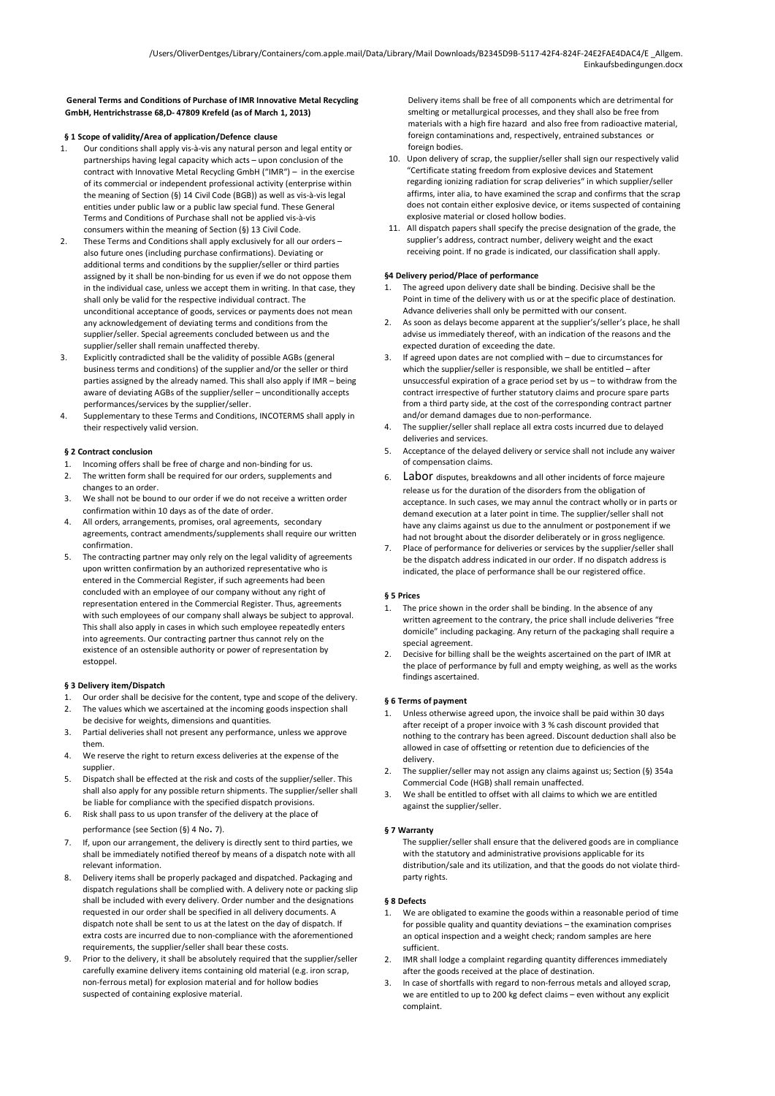# **General Terms and Conditions of Purchase of IMR Innovative Metal Recycling GmbH, Hentrichstrasse 68,D- 47809 Krefeld (as of March 1, 2013)**

# **§ 1 Scope of validity/Area of application/Defence clause**

- 1. Our conditions shall apply vis-à-vis any natural person and legal entity or partnerships having legal capacity which acts – upon conclusion of the contract with Innovative Metal Recycling GmbH ("IMR") – in the exercise of its commercial or independent professional activity (enterprise within the meaning of Section (§) 14 Civil Code (BGB)) as well as vis-à-vis legal entities under public law or a public law special fund. These General Terms and Conditions of Purchase shall not be applied vis-à-vis consumers within the meaning of Section (§) 13 Civil Code.
- 2. These Terms and Conditions shall apply exclusively for all our orders also future ones (including purchase confirmations). Deviating or additional terms and conditions by the supplier/seller or third parties assigned by it shall be non-binding for us even if we do not oppose them in the individual case, unless we accept them in writing. In that case, they shall only be valid for the respective individual contract. The unconditional acceptance of goods, services or payments does not mean any acknowledgement of deviating terms and conditions from the supplier/seller. Special agreements concluded between us and the supplier/seller shall remain unaffected thereby.
- 3. Explicitly contradicted shall be the validity of possible AGBs (general business terms and conditions) of the supplier and/or the seller or third parties assigned by the already named. This shall also apply if IMR – being aware of deviating AGBs of the supplier/seller – unconditionally accepts performances/services by the supplier/seller.
- 4. Supplementary to these Terms and Conditions, INCOTERMS shall apply in their respectively valid version.

### **§ 2 Contract conclusion**

- 1. Incoming offers shall be free of charge and non-binding for us.
- 2. The written form shall be required for our orders, supplements and changes to an order.
- 3. We shall not be bound to our order if we do not receive a written order confirmation within 10 days as of the date of order.
- 4. All orders, arrangements, promises, oral agreements, secondary agreements, contract amendments/supplements shall require our written confirmation.
- 5. The contracting partner may only rely on the legal validity of agreements upon written confirmation by an authorized representative who is entered in the Commercial Register, if such agreements had been concluded with an employee of our company without any right of representation entered in the Commercial Register. Thus, agreements with such employees of our company shall always be subject to approval. This shall also apply in cases in which such employee repeatedly enters into agreements. Our contracting partner thus cannot rely on the existence of an ostensible authority or power of representation by estoppel.

### **§ 3 Delivery item/Dispatch**

- 1. Our order shall be decisive for the content, type and scope of the delivery. 2. The values which we ascertained at the incoming goods inspection shall
- be decisive for weights, dimensions and quantities.
- 3. Partial deliveries shall not present any performance, unless we approve them.
- 4. We reserve the right to return excess deliveries at the expense of the supplier.
- 5. Dispatch shall be effected at the risk and costs of the supplier/seller. This shall also apply for any possible return shipments. The supplier/seller shall be liable for compliance with the specified dispatch provisions.
- 6. Risk shall pass to us upon transfer of the delivery at the place of performance (see Section (§) 4 No. 7).
- 7. If, upon our arrangement, the delivery is directly sent to third parties, we shall be immediately notified thereof by means of a dispatch note with all relevant information.
- 8. Delivery items shall be properly packaged and dispatched. Packaging and dispatch regulations shall be complied with. A delivery note or packing slip shall be included with every delivery. Order number and the designations requested in our order shall be specified in all delivery documents. A dispatch note shall be sent to us at the latest on the day of dispatch. If extra costs are incurred due to non-compliance with the aforementioned requirements, the supplier/seller shall bear these costs.
- 9. Prior to the delivery, it shall be absolutely required that the supplier/seller carefully examine delivery items containing old material (e.g. iron scrap, non-ferrous metal) for explosion material and for hollow bodies suspected of containing explosive material.

Delivery items shall be free of all components which are detrimental for smelting or metallurgical processes, and they shall also be free from materials with a high fire hazard and also free from radioactive material, foreign contaminations and, respectively, entrained substances or foreign bodies.

- 10. Upon delivery of scrap, the supplier/seller shall sign our respectively valid "Certificate stating freedom from explosive devices and Statement regarding ionizing radiation for scrap deliveries" in which supplier/seller affirms, inter alia, to have examined the scrap and confirms that the scrap does not contain either explosive device, or items suspected of containing explosive material or closed hollow bodies.
- 11. All dispatch papers shall specify the precise designation of the grade, the supplier's address, contract number, delivery weight and the exact receiving point. If no grade is indicated, our classification shall apply.

## **§4 Delivery period/Place of performance**

- 1. The agreed upon delivery date shall be binding. Decisive shall be the Point in time of the delivery with us or at the specific place of destination. Advance deliveries shall only be permitted with our consent.
- 2. As soon as delays become apparent at the supplier's/seller's place, he shall advise us immediately thereof, with an indication of the reasons and the expected duration of exceeding the date.
- 3. If agreed upon dates are not complied with due to circumstances for which the supplier/seller is responsible, we shall be entitled – after unsuccessful expiration of a grace period set by us – to withdraw from the contract irrespective of further statutory claims and procure spare parts from a third party side, at the cost of the corresponding contract partner and/or demand damages due to non-performance.
- 4. The supplier/seller shall replace all extra costs incurred due to delayed deliveries and services.
- 5. Acceptance of the delayed delivery or service shall not include any waiver of compensation claims.
- 6. Labor disputes, breakdowns and all other incidents of force majeure release us for the duration of the disorders from the obligation of acceptance. In such cases, we may annul the contract wholly or in parts or demand execution at a later point in time. The supplier/seller shall not have any claims against us due to the annulment or postponement if we had not brought about the disorder deliberately or in gross negligence.
- Place of performance for deliveries or services by the supplier/seller shall be the dispatch address indicated in our order. If no dispatch address is indicated, the place of performance shall be our registered office.

### **§ 5 Prices**

- 1. The price shown in the order shall be binding. In the absence of any written agreement to the contrary, the price shall include deliveries "free domicile" including packaging. Any return of the packaging shall require a special agreement.
- 2. Decisive for billing shall be the weights ascertained on the part of IMR at the place of performance by full and empty weighing, as well as the works findings ascertained.

### **§ 6 Terms of payment**

- 1. Unless otherwise agreed upon, the invoice shall be paid within 30 days after receipt of a proper invoice with 3 % cash discount provided that nothing to the contrary has been agreed. Discount deduction shall also be allowed in case of offsetting or retention due to deficiencies of the delivery.
- 2. The supplier/seller may not assign any claims against us; Section (§) 354a Commercial Code (HGB) shall remain unaffected.
- 3. We shall be entitled to offset with all claims to which we are entitled against the supplier/seller.

### **§ 7 Warranty**

The supplier/seller shall ensure that the delivered goods are in compliance with the statutory and administrative provisions applicable for its distribution/sale and its utilization, and that the goods do not violate thirdparty rights.

### **§ 8 Defects**

- 1. We are obligated to examine the goods within a reasonable period of time for possible quality and quantity deviations – the examination comprises an optical inspection and a weight check; random samples are here sufficient.
- 2. IMR shall lodge a complaint regarding quantity differences immediately after the goods received at the place of destination.
- 3. In case of shortfalls with regard to non-ferrous metals and alloyed scrap, we are entitled to up to 200 kg defect claims – even without any explicit complaint.